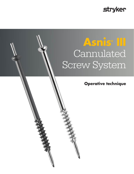# **stryker**

# **Asnis® III Cannulated** Screw System

# **Operative technique**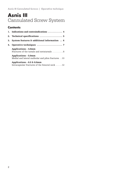# **Asnis III** Cannulated Screw System

# **Contents**

| 1. Indications and contraindications  4                                              |
|--------------------------------------------------------------------------------------|
| 2. Technical specifications  5                                                       |
| 3. System features & additional information 6                                        |
|                                                                                      |
| <b>Applications - 4.0mm</b><br>Fractures of the tarsals and metatarsals 8            |
| <b>Applications - 5.0mm</b><br>Medial and lateral malleolar and pilon fractures 10   |
| Applications - 6.5 & 8.0mm<br>Intracapsular fractures of the femoral neck $\dots$ 12 |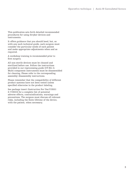This publication sets forth detailed recommended procedures for using Stryker devices and instruments.

It offers guidance that you should heed, but, as with any such technical guide, each surgeon must consider the particular needs of each patient and make appropriate adjustments when and as required.

A workshop training is recommended prior to first surgery.

All non-sterile devices must be cleaned and sterilized before use. Follow the instructions provided in our reprocessing guide (OT-RG-1). Multi-component instruments must be disassembled for cleaning. Please refer to the corresponding assembly/ disassembly instructions.

Please remember that the compatibility of different product systems have not been tested unless specified otherwise in the product labeling.

See package insert (Instruction For Use/V15011 & V15013) for a complete list of potential adverse effects, contraindications, warnings and precautions. The surgeon must discuss all relevant risks, including the finite lifetime of the device, with the patient, when necessary.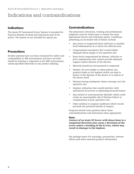# Indications and contraindications

# **Indications**

The Asnis III Cannulated Screw System is intended for fracture fixation of small and long bones and of the pelvis. The system is not intended for spinal use.

# **Precautions**

Stryker systems have not been evaluated for safety and compatibility in MR environment and have not been tested for heating or migration in the MR environment, unless specified otherwise in the product labeling.

# **Contraindications**

The physician's education, training and professional judgment must be relied upon to choose the most appropriate device and treatment option. Conditions presenting an increased risk of failure include:

- Any active or suspected latent infection or marked local inflammation in or about the affected area
- Compromised vascularity that would inhibit adequate blood supply to the operative site
- Bone stock compromised by disease, infection or prior implantation that cannot provide adequate support and/or fixation of the devices
- Material sensitivity documented or suspected
- Obesity. An overweight or obese patient can produce loads on the implant which can lead to failure of the fixation of the device or to failure of the device itself
- Patients having inadequate tissue coverage over the operative site
- Implant utilization that would interfere with anatomical structures or physiological performance
- Any mental or neuromuscular disorder which could create an unacceptable risk of fixation failure or complications in post-operative care
- Other medical or surgical conditions which would preclude the potential benefit of surgery

Surgeons should warn patients about these contraindications and limitations when appropriate

# **Note:**

Contact of an Asnis III Screw with dense bone in a tangential direction may cause a deviation of the screw and/or a bending of the K-wire, which may result in damage to the implant.

See package insert for warnings, precautions, adverse effects and other essential product information.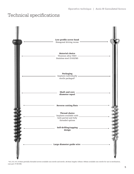# Technical specifications



\*4.0, 5.0, 6.5, 8.0mm partially threaded screws available non-sterile and sterile; ø8.0mm lengths 125mm-180mm available non–sterile for use in sterilization, case part # 901596.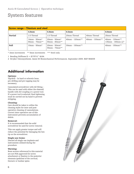# System features

| <b>Screw range - Titanium and steel</b> |                                   |                                                       |                   |                  |                                                                     |  |  |  |
|-----------------------------------------|-----------------------------------|-------------------------------------------------------|-------------------|------------------|---------------------------------------------------------------------|--|--|--|
|                                         | 4.0 <sub>mm</sub>                 | 5.0 <sub>mm</sub>                                     | 6.5 <sub>mm</sub> |                  | 8.0 <sub>mm</sub>                                                   |  |  |  |
| Partial                                 | $1/3$ Thread                      | $1/3$ Thread                                          | 20mm Thread       | 40mm Thread      | 25mm Thread                                                         |  |  |  |
|                                         | $14mm - 50mm*$<br>$55mm - 70mm**$ | $20 \text{mm}$ - $50 \text{mm}^*$<br>$55mm - 80mm$ ** | $40mm - 120mm**$  | $40mm - 130mm**$ | $40mm - 130mm**$<br>$135 \text{mm} - 180 \text{mm}$ $\frac{***}{*}$ |  |  |  |
| Full                                    | $10mm - 50mm$                     | $20mm - 50mm$<br>$55mm - 70mm**$                      | $30mm - 150mm**$  |                  | $40mm - 150mm**$                                                    |  |  |  |

\* 2mm increments \*\* 5mm increments \*\*\* Steel only

1 Bending Stiffness K =  $(E*PI*d \^4)/64$ .

2 Stryker Osteosynthesis. Asnis III Biomechanical Performances. September 2009. REF 984009

# **Additional information**

#### Options:

Tap/drill – In hard or sclerotic bone, pre-drilling and pre-tapping may be necessary.

Cannulated screwdriver with AO fitting – This can be used with either the elastosil handle with AO coupling or a power tool. If a power tool is selected, final tightening must be carried out by hand to prevent stripping.

# Cleaning:

Care should be taken to utilize the cleaning stylet for inter and postoperative cleaning of cannulations. Correct inter-operative use of this instrument prevents accumulation of debris.

#### Removal:

It is recommended that the solid screwdriver be used for screw removal.

This can apply greater torque and will reduce the potential for damaging the hex tip on the screwdriver.

#### Single-use items:

Discard all single-use implants and instruments utilized during the procedure.

#### Warning:

Bone screws referenced in this material are not FDA approved for screw attachment or fixation to the posterior elements (pedicles) of the cervical, thoracic or lumbar spine.

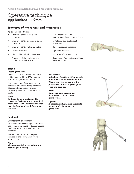# Operative technique **Applications - 4.0mm**

# **Fractures of the tarsals and metatarsals**

## Applications - 4.0mm

- Fractures of the tarsals and metatarsals
- Fractures of the olecranon, distal humerus
- Fractures of the radius and ulna
- Patella fractures
- Distal tibia and pilon fractures
- Fractures of the fibula, medial malleolus, or calcaneus

# The

# **Step 1**

## Insert guide wire

Using the Ø1.4 x 2.7mm double drill guide, insert a Ø1.4 x 150mm guide wire to the appropriate depth.

Use image intensification to control reduction and guide wire placement. Place additional guide wires as necessary. Remove the double drill guide.

## **Note:**

In dense bone, puncturing the cortex with the Ø1.4 x 150mm drill bit to initiate the wire may reduce heat build-up and/or deflection of the wire.

# **Optional**

## Countersink or washer?

Where soft tissue coverage is minimal, use of the countersink to further recess the low profile screw head may be beneficial.

Washers can be applied to spread the load of the screw head over a greater area.

## **Note:**

The countersink design does not require pre-drilling.

- Tarso-metatarsal and metatarsophalangeal arthrodesis
- Metatarsal and phalangeal osteotomies
- Osteochondritis dissecans
- Ligament fixation
- Fractures of the pelvic ring
- Other small fragment, cancellous bone fractures



Substitute the Ø1.4 x 150mm guide wire with a Ø1.4 x 150mm drill bit. Throughout the procedure it is possible to interchange the guide wire and drill bit.

## **Note:**

Guide wires are single-use disposables. Do not reuse guide wires.

## **Option:**

A parallel drill guide is available for parallel placement of guide wire.



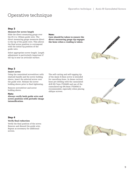# **Step 2**

## Measure for screw length

Slide the direct measuring gauge over the Ø1.4 x 150mm guide wire. The direct measuring gauge measures direct to the tip of the guide wire. This allows the final screw position to correspond with the initial tip position of the guide wire.

Select appropriate screw length. Length adjustment is particularly important if the tip is near an articular surface.

#### **Note:**

Care should be taken to ensure the direct measuring gauge tip engages the bone when a reading is taken.



# **Step 3**

#### Insert screw

Using the cannulated screwdriver with elastosil handle and the screw holding sleeve, insert the selected screw over the guide wire. Release the screw holding sleeve prior to final tightening.

Remove screwdriver and screw holding sleeve.

#### **Note:**

Always verify both guide wire and screw position with periodic image intensification.

# **Step 4**

## Verify final reduction

Verify the final position of the screw. Remove and discard the guide wire. Repeat as necessary for additional screws.



The self-cutting and self-tapping tip



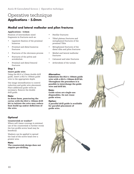# Operative technique **Applications - 5.0mm**

# **Medial and lateral malleolar and pilon fractures**

## Applications - 5.0mm

Fixation of intermediate-sized fragments in fractures such as:

- Ligament fixation of the proximal humerus
- Proximal and distal humerus fractures
- Fractures of the olecranon process
- Fractures of the pelvis and acetabulum
- Proximal and distal femoral fractures

# **Step 1**

## Insert guide wire

Using the Ø2.0 x 3.5mm double drill guide, insert a Ø2.0 x 150mm guide wire to the appropriate depth.

Use image intensification to control reduction and guide wire placement. Place additional guide wires as necessary. Remove the double drill guide.

# **Note:**

In dense bone, puncturing the cortex with the Ø2.0 x 150mm drill bit to initiate the wire may reduce heat build-up and/or deflection of the wire.

# **Optional**

# Countersink or washer?

Where soft tissue coverage is minimal, use of the countersink to further recess the low profile screw head may be beneficial.

Washers can be applied to spread the load of the screw head over a greater area.

# **Note:**

The countersink design does not require pre-drilling.

- Patellar fractures
- Tibial plateau fractures and metaphyseal fractures of the proximal Tibia
- Metaphyseal fractures of the distal tibia and pilon fractures
- Medial and lateral malleolar fractures
- Calcaneal and talar fractures

Substitute the Ø2.0 x 150mm guide wire with a Ø2.0 x 150mm drill bit. Throughout the procedure it is possible to interchange the guide

• Arthrodesis of the tarsals

**Alternative:**

**Note:**

wire and drill bit.

guide wires. **Option:**

guide wire.

Guide wires are single-use disposables. Do not reuse

for parallel placement of

A parallel drill guide is available





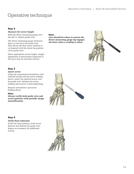# **Step 2**

## Measure for screw length

Slide the direct measuring gauge over the Ø2.0 x 150mm guide wire.

The direct measuring gauge measures direct to the tip of the guide wire. This allows the final screw position to correspond with the initial tip position of the guide wire.

Select appropriate screw length. Length adjustment is particularly important if the tip is near an articular surface.

# **Note:**

Care should be taken to ensure the direct measuring gauge tip engages the bone when a reading is taken.



# **Step 3**

#### Insert screw

Using the cannulated screwdriver with elastosil handle and the screw holding sleeve, insert the selected screw over the guide wire. Release the screw holding sleeve prior to final tightening.

Remove screwdriver and screw holding sleeve.

## **Note:**

Always verify both guide wire and screw position with periodic image intensification.



# **Step 4**

## Verify final reduction

Verify the final position of the screw. Remove and discard the guide wire. Repeat as necessary for additional screws.

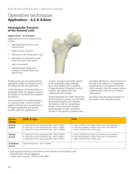# Operative technique **Applications - 6.5 & 8.0mm**

# **Intracapsular fractures of the femoral neck**

## Applications - 6.5 & 8.0mm

Applications for 6.5 & 8.0mm screws include:

- Intracapsular fractures of the femoral neck
- Tibial plateau fractures
- Fractures of the dorsal pelvic ring
- Sacroiliac joint disruptions and other fractures of the pelvis
- Ankle arthrodesis
- Supplementary fixation for fractures of the proximal and distal femur

Parallel guide pins are placed and the appropriate length cannulated screws are advanced over the guide pins.

A full description of this procedure is presented to give the surgeon many of the details for successful intracapsular hip fixation.

Place the patient in a supine position on a fracture table. Traction is then applied with the leg in neutral flexion, 10 degrees abduction and neutral rotation. After the application of



traction, the hip is internally rotated as far as possible using moderate force, then backed off to a position of approximately 20 degrees internal rotation. The reduction is then confirmed by fluoroscopy.

If good alignment but slight distraction of the fracture is present, proceed with the internal fixation and compress the fracture with the compression screws. A six-centimeter straight lateral incision is made, starting at the flair of the greater trochanter and

extending distally. If a closed fracture is not able to be reduced or if significant comminution of the posterior femoral neck is present, then the surgeon should consider open reduction or prosthetic replacement.

The fascia lata and vastus lateralis are then split in line with the incision.

| <b>Screw</b><br>range               | <b>Drills &amp; taps</b>                                                                                                                                                  | <b>Note</b>                                                                                                                                                           |
|-------------------------------------|---------------------------------------------------------------------------------------------------------------------------------------------------------------------------|-----------------------------------------------------------------------------------------------------------------------------------------------------------------------|
| 6.5mm<br><b>Screw</b>               | a. Asnis III 4.9 mm cannulated drill – Ref $# 702601$<br>b. Asnis III 6.5 mm cannulated tap $-$ Ref $\#$ 702602<br>c. Asnis III 6.5 mm cannulated drill – Ref $# 702603$  | a. Used to drill for the length of the screw to be inserted.<br>b. Used after drilling to tap for the screw to be inserted.<br>c. Used to drill the near cortex only  |
| 8.0 <sub>mm</sub><br><b>Screw</b>   | a. Asnis III 5.6 mm cannulated drill $-$ Ref $# 702611$<br>b. Asnis III 8.0 mm cannulated tap $-$ Ref $# 702612$<br>c. Asnis III 8.0 mm cannulated drill – Ref $# 702613$ | a. Used to drill for the length of the screw to be inserted.<br>b. Used after drilling to tap for the screw to be inserted.<br>c. Used to drill the near cortex only. |
| $6.5/8.0 \text{mm}$<br><b>Screw</b> | Asnis III extractor – Ref $# 702624$                                                                                                                                      |                                                                                                                                                                       |

2 Intracapsular fractures of the femoral neck. Results of cannulated screw SE Asnis and L Wanek-Sgaglione

J Bone Joint Surg Am. 1994;76:1793-1803.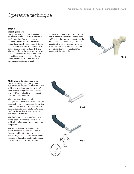# **Step 1**

## Insert guide wire

Using fluoroscopy, a point is selected at, but not below, the level of the lesser trochanter (See Figure 1) midway between the anterior and posterior femoral cortices. In patients with dense cortical bone, the lateral femoral cortex can be opened with a 3.2mm drill bit. The guide pin for the most inferior screw is placed through the drill guide, then passed just above the calcar (inferior femoral neck), across the fracture and into the inferior femoral head.

In the lateral view, this guide pin should stay in the mid-line of the femoral neck and head. If fluoroscopy shows that this pin is not in a satisfactory position, then back it out to the cortex and re-direct it without making a new cortical hole. Two-plane fluoroscopy confirms the position of the guide pin.





## Multiple guide wire insertion

One adjustable parallel pin guide is available (See Figure 2) and two fixed pin guides are available (See Figure 3). Of the two fixed pin guides, one contains a grid of different sized triangles, the other different sized diamonds.

Three screws using a triangle configuration (one screw distally and two proximally) are recommended for garden I and II fractures, and four screws in a diamond or kite-shape configuration are used for the garden III and IV fractures that require reduction.

The fixed diamond or triangle guide is then placed over the well positioned guide pin and two additional guide pins are placed.

The guide pins can be power driven directly through the cortex, across the fracture and into the femoral head. Pre-drilling at this level is almost never necessary. Check the length and position of the guide pins with fluoroscopy.

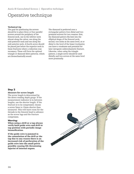#### Technical tip

The goal for positioning the screws should be to place three or four parallel screws around the periphery of the femoral neck, one in the inferior neck almost along the calcar, one along the mid-posterior neck and one along the mid-anterior neck. A fourth screw should be placed just below the superior neck in those fractures where a reduction was necessary. These will form the optimal triangle or diamond (kite) patterns, which are biomechanically sound.

The diamond is preferred over a rectangular pattern (two distal and two proximal screws) for two reasons: first, the diamond pattern fits best into the elliptical shape of the femoral neck; second, two holes at the same level, at or distal to the level of the lesser trochanter, can leave a weakness and potential for later iatrogenic subtrochanteric fracture. Likewise, when using the triangle pattern, a single screw should be used distally and two screws at the same level more proximally.

# **Step 2**

#### Measure for screw length

The screw length is determined by the direct reading depth gauge. If the measurement indicator is in-between lengths, use the shorter length. If the fracture is to be compressed, choose a screw 5mm to 10mm shorter than measured. This will leave room for the threads in the femoral head to advance as the screw lags and the fracture compresses.

#### **Warning:**

When using a drill or a tap always verify both guide wire and drill or tap position with periodic image intensification.

If the guide wire is jammed in the cannulation of the drill or the tap due to any reason there is an increased risk of perforation of the guide wire into the small pelvis possibly causing life threatening injuries of internal organs.

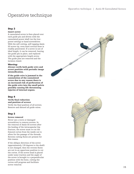# **Step 3**

#### Insert screw

A cannulated screw is then placed over each guide pin and driven with the cannulated power shaft (on the lowpower setting) or hand screwdriver. With the self-cutting, self-tapping Asnis III screw tip, even hard cortical bone is readily penetrated . If a screw is not of ideal length, it can be removed, leaving the guide pin in place, and replaced with the appropriate length screw . The guide pins are removed and the incision closed .

#### **Warning:**

Always verify both guide wire and screw position with periodic image intensification.

If the guide wire is jammed in the cannulation of the cannulated screw due to any reason there is an increased risk of perforation of the guide wire into the small pelvis possibly causing life threatening injuries of internal organs.

## **Step 4**

Verify the final position of all screws. Remove and discard all guide wires . Verify final reduction and position of screws

# **Step 5**

## Screw removal

Never use a worn or damaged screwdriver to remove screws . In the removal of Asnis III screws after the healing of the intracapsular hip fracture, the screw must re-cut the femoral cortex from the inside out to allow for the passage of the threads . Reverse cutting flutes are present for this reason .

If the oblique direction of the screw (approximately 135 degrees to the shaft) is not changed, then the reverse flutes are not in an opportune position to cut the cortex. If the screw head is placed under some traction and the angle of the screw is brought to a perpendicular position with the bone, cutting the cortex will progress and facilitate screw removal .